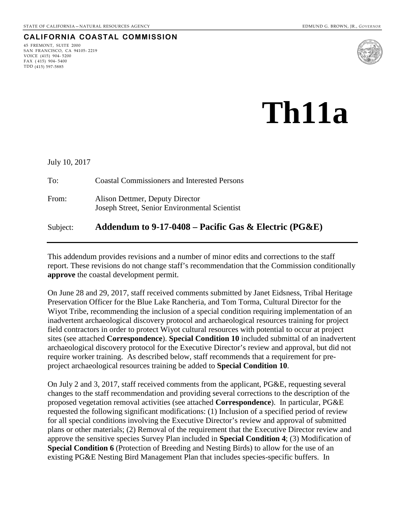# **CALIFORNIA COASTAL COMMISSION**

45 FREMONT, SUITE 2000 SAN FRANCISCO, CA 94105- 2219 VOICE (415) 904- 5200 FAX ( 415) 904- 5400 TDD (415) 597-5885



# **Th11a**

| Subject:      | Addendum to 9-17-0408 – Pacific Gas & Electric (PG&E)                            |
|---------------|----------------------------------------------------------------------------------|
| From:         | Alison Dettmer, Deputy Director<br>Joseph Street, Senior Environmental Scientist |
| To:           | <b>Coastal Commissioners and Interested Persons</b>                              |
| July 10, 2017 |                                                                                  |

This addendum provides revisions and a number of minor edits and corrections to the staff report. These revisions do not change staff's recommendation that the Commission conditionally **approve** the coastal development permit.

On June 28 and 29, 2017, staff received comments submitted by Janet Eidsness, Tribal Heritage Preservation Officer for the Blue Lake Rancheria, and Tom Torma, Cultural Director for the Wiyot Tribe, recommending the inclusion of a special condition requiring implementation of an inadvertent archaeological discovery protocol and archaeological resources training for project field contractors in order to protect Wiyot cultural resources with potential to occur at project sites (see attached **Correspondence**). **Special Condition 10** included submittal of an inadvertent archaeological discovery protocol for the Executive Director's review and approval, but did not require worker training. As described below, staff recommends that a requirement for preproject archaeological resources training be added to **Special Condition 10**.

On July 2 and 3, 2017, staff received comments from the applicant, PG&E, requesting several changes to the staff recommendation and providing several corrections to the description of the proposed vegetation removal activities (see attached **Correspondence**). In particular, PG&E requested the following significant modifications: (1) Inclusion of a specified period of review for all special conditions involving the Executive Director's review and approval of submitted plans or other materials; (2) Removal of the requirement that the Executive Director review and approve the sensitive species Survey Plan included in **Special Condition 4**; (3) Modification of **Special Condition 6** (Protection of Breeding and Nesting Birds) to allow for the use of an existing PG&E Nesting Bird Management Plan that includes species-specific buffers. In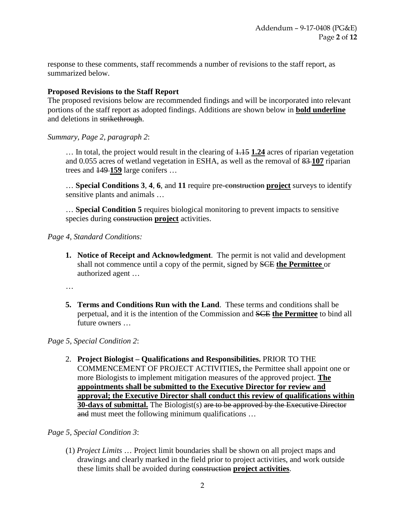response to these comments, staff recommends a number of revisions to the staff report, as summarized below.

#### **Proposed Revisions to the Staff Report**

The proposed revisions below are recommended findings and will be incorporated into relevant portions of the staff report as adopted findings. Additions are shown below in **bold underline** and deletions in strikethrough.

#### *Summary, Page 2, paragraph 2*:

… In total, the project would result in the clearing of 1.15 **1.24** acres of riparian vegetation and 0.055 acres of wetland vegetation in ESHA, as well as the removal of 83 **107** riparian trees and 149 **159** large conifers …

… **Special Conditions 3**, **4**, **6**, and **11** require pre-construction **project** surveys to identify sensitive plants and animals …

… **Special Condition 5** requires biological monitoring to prevent impacts to sensitive species during construction **project** activities.

#### *Page 4*, *Standard Conditions:*

**1. Notice of Receipt and Acknowledgment**. The permit is not valid and development shall not commence until a copy of the permit, signed by SCE **the Permittee** or authorized agent …

…

**5. Terms and Conditions Run with the Land**. These terms and conditions shall be perpetual, and it is the intention of the Commission and SCE **the Permittee** to bind all future owners …

## *Page 5, Special Condition 2*:

2. **Project Biologist – Qualifications and Responsibilities.** PRIOR TO THE COMMENCEMENT OF PROJECT ACTIVITIES**,** the Permittee shall appoint one or more Biologists to implement mitigation measures of the approved project. **The appointments shall be submitted to the Executive Director for review and approval; the Executive Director shall conduct this review of qualifications within 30-days of submittal.** The Biologist(s) are to be approved by the Executive Director and must meet the following minimum qualifications …

## *Page 5, Special Condition 3*:

(1) *Project Limits* … Project limit boundaries shall be shown on all project maps and drawings and clearly marked in the field prior to project activities, and work outside these limits shall be avoided during construction **project activities**.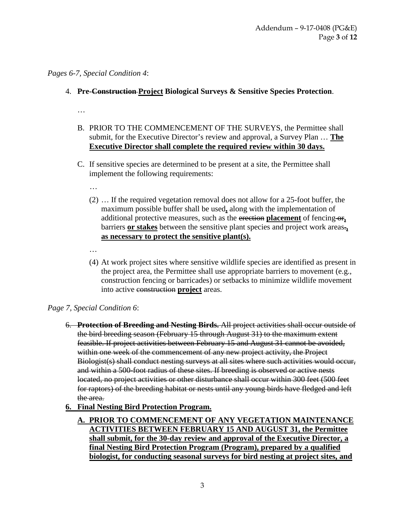# *Pages 6-7, Special Condition 4*:

- 4. **Pre-Construction Project Biological Surveys & Sensitive Species Protection**.
	- …
	- B. PRIOR TO THE COMMENCEMENT OF THE SURVEYS, the Permittee shall submit, for the Executive Director's review and approval, a Survey Plan … **The Executive Director shall complete the required review within 30 days.**
	- C. If sensitive species are determined to be present at a site, the Permittee shall implement the following requirements:
		- …
		- (2) … If the required vegetation removal does not allow for a 25-foot buffer, the maximum possible buffer shall be used**,** along with the implementation of additional protective measures, such as the erection **placement** of fencing-or<sub>1</sub> barriers **or stakes** between the sensitive plant species and project work areas.**, as necessary to protect the sensitive plant(s).**
		- …
		- (4) At work project sites where sensitive wildlife species are identified as present in the project area, the Permittee shall use appropriate barriers to movement (e.g., construction fencing or barricades) or setbacks to minimize wildlife movement into active construction **project** areas.

# *Page 7, Special Condition 6*:

- 6. **Protection of Breeding and Nesting Birds.** All project activities shall occur outside of the bird breeding season (February 15 through August 31) to the maximum extent feasible. If project activities between February 15 and August 31 cannot be avoided, within one week of the commencement of any new project activity, the Project Biologist(s) shall conduct nesting surveys at all sites where such activities would occur, and within a 500-foot radius of these sites. If breeding is observed or active nests located, no project activities or other disturbance shall occur within 300 feet (500 feet for raptors) of the breeding habitat or nests until any young birds have fledged and left the area.
- **6. Final Nesting Bird Protection Program.** 
	- **A. PRIOR TO COMMENCEMENT OF ANY VEGETATION MAINTENANCE ACTIVITIES BETWEEN FEBRUARY 15 AND AUGUST 31, the Permittee shall submit, for the 30-day review and approval of the Executive Director, a final Nesting Bird Protection Program (Program), prepared by a qualified biologist, for conducting seasonal surveys for bird nesting at project sites, and**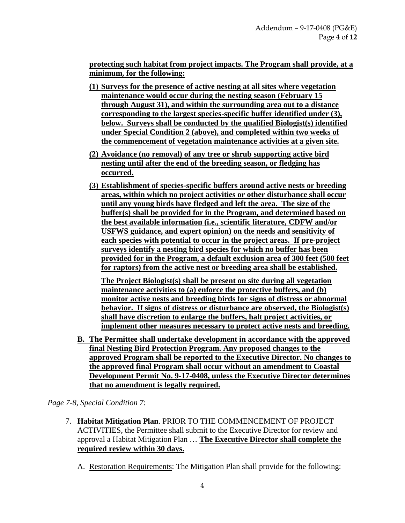**protecting such habitat from project impacts. The Program shall provide, at a minimum, for the following:** 

- **(1) Surveys for the presence of active nesting at all sites where vegetation maintenance would occur during the nesting season (February 15 through August 31), and within the surrounding area out to a distance corresponding to the largest species-specific buffer identified under (3), below. Surveys shall be conducted by the qualified Biologist(s) identified under Special Condition 2 (above), and completed within two weeks of the commencement of vegetation maintenance activities at a given site.**
- **(2) Avoidance (no removal) of any tree or shrub supporting active bird nesting until after the end of the breeding season, or fledging has occurred.**
- **(3) Establishment of species-specific buffers around active nests or breeding areas, within which no project activities or other disturbance shall occur until any young birds have fledged and left the area. The size of the buffer(s) shall be provided for in the Program, and determined based on the best available information (i.e., scientific literature, CDFW and/or USFWS guidance, and expert opinion) on the needs and sensitivity of each species with potential to occur in the project areas. If pre-project surveys identify a nesting bird species for which no buffer has been provided for in the Program, a default exclusion area of 300 feet (500 feet for raptors) from the active nest or breeding area shall be established.**

**The Project Biologist(s) shall be present on site during all vegetation maintenance activities to (a) enforce the protective buffers, and (b) monitor active nests and breeding birds for signs of distress or abnormal behavior. If signs of distress or disturbance are observed, the Biologist(s) shall have discretion to enlarge the buffers, halt project activities, or implement other measures necessary to protect active nests and breeding.** 

**B. The Permittee shall undertake development in accordance with the approved final Nesting Bird Protection Program. Any proposed changes to the approved Program shall be reported to the Executive Director. No changes to the approved final Program shall occur without an amendment to Coastal Development Permit No. 9-17-0408, unless the Executive Director determines that no amendment is legally required.**

*Page 7-8, Special Condition 7*:

- 7. **Habitat Mitigation Plan**. PRIOR TO THE COMMENCEMENT OF PROJECT ACTIVITIES, the Permittee shall submit to the Executive Director for review and approval a Habitat Mitigation Plan … **The Executive Director shall complete the required review within 30 days.**
	- A. Restoration Requirements: The Mitigation Plan shall provide for the following: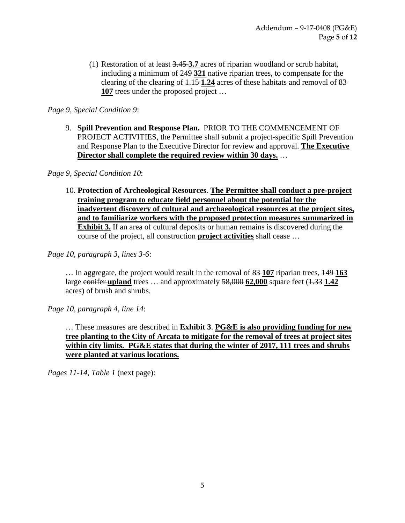(1) Restoration of at least 3.45 **3.7** acres of riparian woodland or scrub habitat, including a minimum of 249 **321** native riparian trees, to compensate for the clearing of the clearing of 1.15 **1.24** acres of these habitats and removal of 83 **107** trees under the proposed project …

# *Page 9, Special Condition 9*:

9. **Spill Prevention and Response Plan.** PRIOR TO THE COMMENCEMENT OF PROJECT ACTIVITIES, the Permittee shall submit a project-specific Spill Prevention and Response Plan to the Executive Director for review and approval. **The Executive Director shall complete the required review within 30 days.** …

## *Page 9, Special Condition 10*:

10. **Protection of Archeological Resources**. **The Permittee shall conduct a pre-project training program to educate field personnel about the potential for the inadvertent discovery of cultural and archaeological resources at the project sites, and to familiarize workers with the proposed protection measures summarized in Exhibit 3.** If an area of cultural deposits or human remains is discovered during the course of the project, all construction **project activities** shall cease ...

*Page 10, paragraph 3, lines 3-6*:

… In aggregate, the project would result in the removal of 83 **107** riparian trees, 149 **163** large conifer upland trees ... and approximately  $58,000$  **62,000** square feet ( $\overline{1,33}$  **1.42** acres) of brush and shrubs.

*Page 10, paragraph 4, line 14*:

… These measures are described in **Exhibit 3**. **PG&E is also providing funding for new tree planting to the City of Arcata to mitigate for the removal of trees at project sites within city limits. PG&E states that during the winter of 2017, 111 trees and shrubs were planted at various locations.**

*Pages 11-14, Table 1* (next page):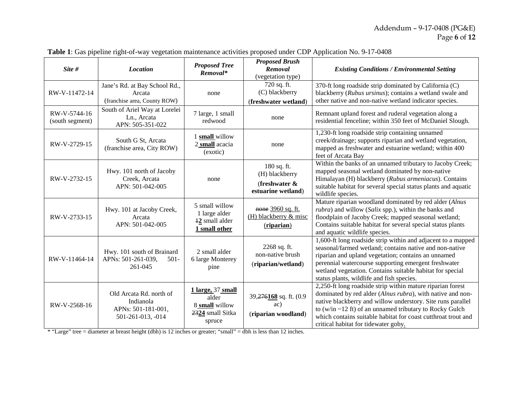| Site #                          | <b>Location</b>                                                                 | <b>Proposed Tree</b><br>Removal*                                           | <b>Proposed Brush</b><br>Removal<br>(vegetation type)                   | <b>Existing Conditions / Environmental Setting</b>                                                                                                                                                                                                                                                                                                                |
|---------------------------------|---------------------------------------------------------------------------------|----------------------------------------------------------------------------|-------------------------------------------------------------------------|-------------------------------------------------------------------------------------------------------------------------------------------------------------------------------------------------------------------------------------------------------------------------------------------------------------------------------------------------------------------|
| RW-V-11472-14                   | Jane's Rd. at Bay School Rd.,<br>Arcata<br>(franchise area, County ROW)         | none                                                                       | 720 sq. ft.<br>(C) blackberry<br>(freshwater wetland)                   | 370-ft long roadside strip dominated by California (C)<br>blackberry (Rubus ursinus); contains a wetland swale and<br>other native and non-native wetland indicator species.                                                                                                                                                                                      |
| RW-V-5744-16<br>(south segment) | South of Ariel Way at Lorelei<br>Ln., Arcata<br>APN: 505-351-022                | 7 large, 1 small<br>redwood                                                | none                                                                    | Remnant upland forest and ruderal vegetation along a<br>residential fenceline; within 350 feet of McDaniel Slough.                                                                                                                                                                                                                                                |
| RW-V-2729-15                    | South G St, Arcata<br>(franchise area, City ROW)                                | 1 small willow<br>2 small acacia<br>(exotic)                               | none                                                                    | 1,230-ft long roadside strip containing unnamed<br>creek/drainage; supports riparian and wetland vegetation,<br>mapped as freshwater and estuarine wetland; within 400<br>feet of Arcata Bay                                                                                                                                                                      |
| RW-V-2732-15                    | Hwy. 101 north of Jacoby<br>Creek, Arcata<br>APN: 501-042-005                   | none                                                                       | 180 sq. ft.<br>(H) blackberry<br>(freshwater $\&$<br>estuarine wetland) | Within the banks of an unnamed tributary to Jacoby Creek;<br>mapped seasonal wetland dominated by non-native<br>Himalayan (H) blackberry (Rubus armeniacus). Contains<br>suitable habitat for several special status plants and aquatic<br>wildlife species.                                                                                                      |
| RW-V-2733-15                    | Hwy. 101 at Jacoby Creek,<br>Arcata<br>APN: 501-042-005                         | 5 small willow<br>1 large alder<br>12 small alder<br>1 small other         | none 3960 sq. ft.<br>$(H)$ blackberry & misc<br>(riparian)              | Mature riparian woodland dominated by red alder (Alnus<br><i>rubra</i> ) and willow (Salix spp.), within the banks and<br>floodplain of Jacoby Creek; mapped seasonal wetland;<br>Contains suitable habitat for several special status plants<br>and aquatic wildlife species.                                                                                    |
| RW-V-11464-14                   | Hwy. 101 south of Brainard<br>APNs: 501-261-039,<br>$501 -$<br>261-045          | 2 small alder<br>6 large Monterey<br>pine                                  | 2268 sq. ft.<br>non-native brush<br>(riparian/wetland)                  | 1,600-ft long roadside strip within and adjacent to a mapped<br>seasonal/farmed wetland; contains native and non-native<br>riparian and upland vegetation; contains an unnamed<br>perennial watercourse supporting emergent freshwater<br>wetland vegetation. Contains suitable habitat for special<br>status plants, wildlife and fish species.                  |
| RW-V-2568-16                    | Old Arcata Rd. north of<br>Indianola<br>APNs: 501-181-001,<br>501-261-013, -014 | 1 large, 37 small<br>alder<br>8 small willow<br>2324 small Sitka<br>spruce | 39,276168 sq. ft. (0.9<br>ac)<br>(riparian woodland)                    | 2,250-ft long roadside strip within mature riparian forest<br>dominated by red alder (Alnus rubra), with native and non-<br>native blackberry and willow understory. Site runs parallel<br>to (w/in $\sim$ 12 ft) of an unnamed tributary to Rocky Gulch<br>which contains suitable habitat for coast cutthroat trout and<br>critical habitat for tidewater goby. |

**Table 1**: Gas pipeline right-of-way vegetation maintenance activities proposed under CDP Application No. 9-17-0408

\* "Large" tree = diameter at breast height (dbh) is 12 inches or greater; "small" = dbh is less than 12 inches.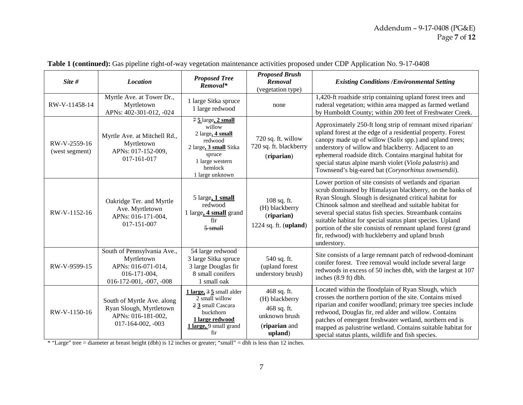| Site #                         | <b>Location</b>                                                                                                                                                                                                  | <b>Proposed Tree</b><br>Removal*                                                                                                                      | <b>Proposed Brush</b><br>Removal<br>(vegetation type)                                     | <b>Existing Conditions / Environmental Setting</b>                                                                                                                                                                                                                                                                                                                                                                                                                                                |  |  |  |
|--------------------------------|------------------------------------------------------------------------------------------------------------------------------------------------------------------------------------------------------------------|-------------------------------------------------------------------------------------------------------------------------------------------------------|-------------------------------------------------------------------------------------------|---------------------------------------------------------------------------------------------------------------------------------------------------------------------------------------------------------------------------------------------------------------------------------------------------------------------------------------------------------------------------------------------------------------------------------------------------------------------------------------------------|--|--|--|
| RW-V-11458-14                  | Myrtle Ave. at Tower Dr.,<br>Myrtletown<br>APNs: 402-301-012, -024                                                                                                                                               | 1 large Sitka spruce<br>1 large redwood                                                                                                               | none                                                                                      | 1,420-ft roadside strip containing upland forest trees and<br>ruderal vegetation; within area mapped as farmed wetland<br>by Humboldt County; within 200 feet of Freshwater Creek.                                                                                                                                                                                                                                                                                                                |  |  |  |
| RW-V-2559-16<br>(west segment) | Myrtle Ave. at Mitchell Rd.,<br>Myrtletown<br>APNs: 017-152-009,<br>017-161-017                                                                                                                                  | $75$ large, $2$ small<br>willow<br>2 large, 4 small<br>redwood<br>2 large, 3 small Sitka<br>spruce<br>1 large western<br>hemlock<br>1 large unknown   | 720 sq. ft. willow<br>720 sq. ft. blackberry<br>(riparian)                                | Approximately 250-ft long strip of remnant mixed riparian/<br>upland forest at the edge of a residential property. Forest<br>canopy made up of willow (Salix spp.) and upland trees;<br>understory of willow and blackberry. Adjacent to an<br>ephemeral roadside ditch. Contains marginal habitat for<br>special status alpine marsh violet (Viola palustris) and<br>Townsend's big-eared bat (Corynorhinus townsendii).                                                                         |  |  |  |
| RW-V-1152-16                   | Oakridge Ter. and Myrtle<br>Ave. Myrtletown<br>APNs: 016-171-004,<br>017-151-007                                                                                                                                 | 5 large, 1 small<br>108 sq. ft.<br>redwood<br>(H) blackberry<br>1 large, 4 small grand<br>(riparian)<br>fir<br>1224 sq. ft. $(upland)$<br>$5 - small$ |                                                                                           | Lower portion of site consists of wetlands and riparian<br>scrub dominated by Himalayan blackberry, on the banks of<br>Ryan Slough. Slough is designated critical habitat for<br>Chinook salmon and steelhead and suitable habitat for<br>several special status fish species. Streambank contains<br>suitable habitat for special status plant species. Upland<br>portion of the site consists of remnant upland forest (grand<br>fir, redwood) with huckleberry and upland brush<br>understory. |  |  |  |
| RW-V-9599-15                   | 54 large redwood<br>South of Pennsylvania Ave.,<br>3 large Sitka spruce<br>Myrtletown<br>APNs: 016-071-014,<br>3 large Douglas fir<br>8 small conifers<br>016-171-004,<br>016-172-001, -007, -008<br>1 small oak |                                                                                                                                                       | 540 sq. ft.<br>(upland forest)<br>understory brush)                                       | Site consists of a large remnant patch of redwood-dominant<br>conifer forest. Tree removal would include several large<br>redwoods in excess of 50 inches dbh, with the largest at 107<br>inches (8.9 ft) dbh.                                                                                                                                                                                                                                                                                    |  |  |  |
| RW-V-1150-16                   | South of Myrtle Ave. along<br>Ryan Slough, Myrtletown<br>APNs: 016-181-002,<br>$017-164-002, -003$                                                                                                               | 1 large, 3 5 small alder<br>2 small willow<br>2 3 small Cascara<br>buckthorn<br>1 large redwood<br>1 large, 9 small grand<br>fir                      | 468 sq. ft.<br>(H) blackberry<br>468 sq. ft.<br>unknown brush<br>(riparian and<br>upland) | Located within the floodplain of Ryan Slough, which<br>crosses the northern portion of the site. Contains mixed<br>riparian and conifer woodland; primary tree species include<br>redwood, Douglas fir, red alder and willow. Contains<br>patches of emergent freshwater wetland, northern end is<br>mapped as palustrine wetland. Contains suitable habitat for<br>special status plants, wildlife and fish species.                                                                             |  |  |  |

| <b>Table 1 (continued):</b> Gas pipeline right-of-way vegetation maintenance activities proposed under CDP Application No. 9-17-0408 |  |  |  |  |  |  |  |
|--------------------------------------------------------------------------------------------------------------------------------------|--|--|--|--|--|--|--|
|                                                                                                                                      |  |  |  |  |  |  |  |

\* "Large" tree = diameter at breast height (dbh) is 12 inches or greater; "small" = dbh is less than 12 inches.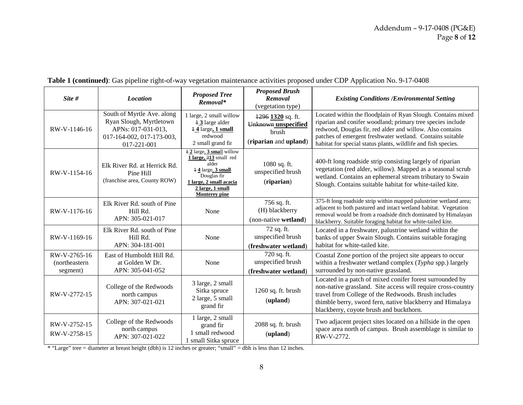| Site #                                     | <b>Location</b>                                                                                                         | <b>Proposed Tree</b><br>Removal*                                                                                                                                                                                   | <b>Proposed Brush</b><br>Removal<br>(vegetation type)                          | <b>Existing Conditions / Environmental Setting</b>                                                                                                                                                                                                                                                                     |
|--------------------------------------------|-------------------------------------------------------------------------------------------------------------------------|--------------------------------------------------------------------------------------------------------------------------------------------------------------------------------------------------------------------|--------------------------------------------------------------------------------|------------------------------------------------------------------------------------------------------------------------------------------------------------------------------------------------------------------------------------------------------------------------------------------------------------------------|
| RW-V-1146-16                               | South of Myrtle Ave. along<br>Ryan Slough, Myrtletown<br>APNs: 017-031-013.<br>017-164-002, 017-173-003,<br>017-221-001 | 1 large, 2 small willow<br>$\pm$ 3 large alder<br>$14$ large, 1 small<br>redwood<br>2 small grand fir                                                                                                              | $1296$ $1320$ sq. ft.<br>Unknown unspecified<br>brush<br>(riparian and upland) | Located within the floodplain of Ryan Slough. Contains mixed<br>riparian and conifer woodland; primary tree species include<br>redwood, Douglas fir, red alder and willow. Also contains<br>patches of emergent freshwater wetland. Contains suitable<br>habitat for special status plants, wildlife and fish species. |
| RW-V-1154-16                               | Elk River Rd. at Herrick Rd.<br>Pine Hill<br>(franchise area, County ROW)                                               | $\overline{12}$ large, $\overline{3}$ small willow<br>1 large, 313 small red<br>alder<br>14 large, 3 small<br>Douglas fir<br>1 large, 2 small acacia<br>$2 \text{ large}, 1 \text{ small}$<br><b>Monterey pine</b> | 1080 sq. ft.<br>unspecified brush<br>(riparian)                                | 400-ft long roadside strip consisting largely of riparian<br>vegetation (red alder, willow). Mapped as a seasonal scrub<br>wetland. Contains an ephemeral stream tributary to Swain<br>Slough. Contains suitable habitat for white-tailed kite.                                                                        |
| RW-V-1176-16                               | Elk River Rd. south of Pine<br>Hill Rd.<br>APN: 305-021-017                                                             | None                                                                                                                                                                                                               | 756 sq. ft.<br>(H) blackberry<br>(non-native wetland)                          | 375-ft long roadside strip within mapped palustrine wetland area;<br>adjacent to both pastured and intact wetland habitat. Vegetation<br>removal would be from a roadside ditch dominated by Himalayan<br>blackberry. Suitable foraging habitat for white-tailed kite.                                                 |
| RW-V-1169-16                               | Elk River Rd. south of Pine<br>Hill Rd.<br>APN: 304-181-001                                                             | None                                                                                                                                                                                                               | 72 sq. ft.<br>unspecified brush<br>(freshwater wetland)                        | Located in a freshwater, palustrine wetland within the<br>banks of upper Swain Slough. Contains suitable foraging<br>habitat for white-tailed kite.                                                                                                                                                                    |
| RW-V-2765-16<br>(northeastern)<br>segment) | East of Humboldt Hill Rd.<br>at Golden W Dr.<br>APN: 305-041-052                                                        | None                                                                                                                                                                                                               | 720 sq. ft.<br>unspecified brush<br>(freshwater wetland)                       | Coastal Zone portion of the project site appears to occur<br>within a freshwater wetland complex (Typha spp.) largely<br>surrounded by non-native grassland.                                                                                                                                                           |
| RW-V-2772-15                               | College of the Redwoods<br>north campus<br>APN: 307-021-021                                                             | 3 large, 2 small<br>Sitka spruce<br>2 large, 5 small<br>grand fir                                                                                                                                                  | 1260 sq. ft. brush<br>(upland)                                                 | Located in a patch of mixed conifer forest surrounded by<br>non-native grassland. Site access will require cross-country<br>travel from College of the Redwoods. Brush includes<br>thimble berry, sword fern, native blackberry and Himalaya<br>blackberry, coyote brush and buckthorn.                                |
| RW-V-2752-15<br>RW-V-2758-15               | College of the Redwoods<br>north campus<br>APN: 307-021-022                                                             | 1 large, 2 small<br>grand fir<br>1 small redwood<br>1 small Sitka spruce                                                                                                                                           | 2088 sq. ft. brush<br>(upland)                                                 | Two adjacent project sites located on a hillside in the open<br>space area north of campus. Brush assemblage is similar to<br>RW-V-2772.                                                                                                                                                                               |

# **Table 1 (continued)**: Gas pipeline right-of-way vegetation maintenance activities proposed under CDP Application No. 9-17-0408

\* "Large" tree = diameter at breast height (dbh) is 12 inches or greater; "small" = dbh is less than 12 inches.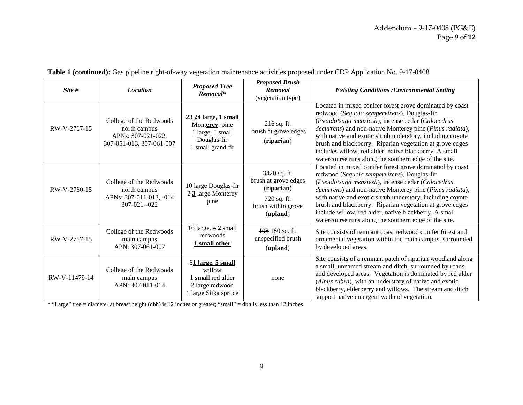| Site #        | <b>Location</b>                                                                           | <b>Proposed Tree</b><br>Removal*                                                                   | <b>Proposed Brush</b><br>Removal<br>(vegetation type)                                               | <b>Existing Conditions /Environmental Setting</b>                                                                                                                                                                                                                                                                                                                                                                                                                     |
|---------------|-------------------------------------------------------------------------------------------|----------------------------------------------------------------------------------------------------|-----------------------------------------------------------------------------------------------------|-----------------------------------------------------------------------------------------------------------------------------------------------------------------------------------------------------------------------------------------------------------------------------------------------------------------------------------------------------------------------------------------------------------------------------------------------------------------------|
| RW-V-2767-15  | College of the Redwoods<br>north campus<br>APNs: 307-021-022,<br>307-051-013, 307-061-007 | $23$ $24$ large, 1 small<br>Monterey. pine<br>1 large, 1 small<br>Douglas-fir<br>1 small grand fir | 216 sq. ft.<br>brush at grove edges<br>(riparian)                                                   | Located in mixed conifer forest grove dominated by coast<br>redwood (Sequoia sempervirens), Douglas-fir<br>(Pseudotsuga menziesii), incense cedar (Calocedrus<br>decurrens) and non-native Monterey pine (Pinus radiata),<br>with native and exotic shrub understory, including coyote<br>brush and blackberry. Riparian vegetation at grove edges<br>includes willow, red alder, native blackberry. A small<br>watercourse runs along the southern edge of the site. |
| RW-V-2760-15  | College of the Redwoods<br>north campus<br>APNs: 307-011-013, -014<br>307-021--022        | 10 large Douglas-fir<br>2 3 large Monterey<br>pine                                                 | 3420 sq. ft.<br>brush at grove edges<br>(riparian)<br>720 sq. ft.<br>brush within grove<br>(upland) | Located in mixed conifer forest grove dominated by coast<br>redwood (Sequoia sempervirens), Douglas-fir<br>(Pseudotsuga menziesii), incense cedar (Calocedrus<br>decurrens) and non-native Monterey pine (Pinus radiata),<br>with native and exotic shrub understory, including coyote<br>brush and blackberry. Riparian vegetation at grove edges<br>include willow, red alder, native blackberry. A small<br>watercourse runs along the southern edge of the site.  |
| RW-V-2757-15  | College of the Redwoods<br>main campus<br>APN: 307-061-007                                | 16 large, $3 \n2$ small<br>redwoods<br>1 small other                                               | $108$ 180 sq. ft.<br>unspecified brush<br>(upland)                                                  | Site consists of remnant coast redwood conifer forest and<br>ornamental vegetation within the main campus, surrounded<br>by developed areas.                                                                                                                                                                                                                                                                                                                          |
| RW-V-11479-14 | College of the Redwoods<br>main campus<br>APN: 307-011-014                                | 61 large, 5 small<br>willow<br>small red alder<br>2 large redwood<br>1 large Sitka spruce          | none                                                                                                | Site consists of a remnant patch of riparian woodland along<br>a small, unnamed stream and ditch, surrounded by roads<br>and developed areas. Vegetation is dominated by red alder<br>(Alnus rubra), with an understory of native and exotic<br>blackberry, elderberry and willows. The stream and ditch<br>support native emergent wetland vegetation.                                                                                                               |

| <b>Table 1 (continued):</b> Gas pipeline right-of-way vegetation maintenance activities proposed under CDP Application No. 9-17-0408 |  |  |  |  |  |  |  |
|--------------------------------------------------------------------------------------------------------------------------------------|--|--|--|--|--|--|--|
|                                                                                                                                      |  |  |  |  |  |  |  |

\* "Large" tree = diameter at breast height (dbh) is 12 inches or greater; "small" = dbh is less than 12 inches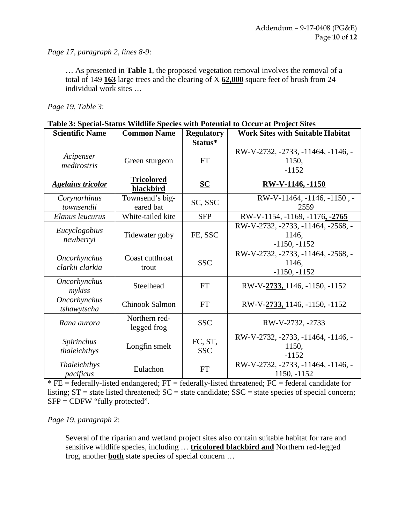*Page 17, paragraph 2, lines 8-9*:

… As presented in **Table 1**, the proposed vegetation removal involves the removal of a total of 149 **163** large trees and the clearing of X **62,000** square feet of brush from 24 individual work sites …

*Page 19, Table 3*:

|                          |                                |                           | Table 5: Special-Status Whume Species with Fotential to Occur at Froject Sites |
|--------------------------|--------------------------------|---------------------------|--------------------------------------------------------------------------------|
| <b>Scientific Name</b>   | <b>Common Name</b>             | <b>Regulatory</b>         | <b>Work Sites with Suitable Habitat</b>                                        |
|                          |                                | Status*                   |                                                                                |
|                          |                                |                           | RW-V-2732, -2733, -11464, -1146, -                                             |
| Acipenser                | Green sturgeon                 | <b>FT</b>                 | 1150,                                                                          |
| medirostris              |                                |                           | $-1152$                                                                        |
| <b>Agelaius tricolor</b> | <b>Tricolored</b><br>blackbird | $\underline{\mathbf{SC}}$ | RW-V-1146, -1150                                                               |
| Corynorhinus             | Townsend's big-                |                           | RW-V-11464, $-1146, -1150$ , -                                                 |
| townsendii               | eared bat                      | SC, SSC                   | 2559                                                                           |
| Elanus leucurus          | White-tailed kite              | <b>SFP</b>                | RW-V-1154, -1169, -1176, -2765                                                 |
|                          |                                |                           | RW-V-2732, -2733, -11464, -2568, -                                             |
| Eucyclogobius            | Tidewater goby                 | FE, SSC                   | 1146,                                                                          |
| newberryi                |                                |                           | $-1150, -1152$                                                                 |
|                          |                                |                           | RW-V-2732, -2733, -11464, -2568, -                                             |
| <b>Oncorhynchus</b>      | Coast cutthroat                | <b>SSC</b>                | 1146.                                                                          |
| clarkii clarkia          | trout                          |                           | $-1150, -1152$                                                                 |
| Oncorhynchus             |                                |                           |                                                                                |
| mykiss                   | Steelhead                      | <b>FT</b>                 | RW-V-2733, 1146, -1150, -1152                                                  |
| Oncorhynchus             | Chinook Salmon                 | FT                        | RW-V-2733, 1146, -1150, -1152                                                  |
| tshawytscha              |                                |                           |                                                                                |
| Rana aurora              | Northern red-                  | <b>SSC</b>                | RW-V-2732, -2733                                                               |
|                          | legged frog                    |                           |                                                                                |
| Spirinchus               |                                | FC, ST,                   | RW-V-2732, -2733, -11464, -1146, -                                             |
|                          | Longfin smelt                  |                           | 1150,                                                                          |
| thaleichthys             |                                | <b>SSC</b>                | $-1152$                                                                        |
| Thaleichthys             |                                |                           | RW-V-2732, -2733, -11464, -1146, -                                             |
| pacificus                | Eulachon                       | FT                        | 1150, -1152                                                                    |

**Table 3: Special-Status Wildlife Species with Potential to Occur at Project Sites**

 $*$  FE = federally-listed endangered; FT = federally-listed threatened; FC = federal candidate for listing;  $ST =$  state listed threatened;  $SC =$  state candidate;  $SSC =$  state species of special concern; SFP = CDFW "fully protected".

*Page 19, paragraph 2*:

Several of the riparian and wetland project sites also contain suitable habitat for rare and sensitive wildlife species, including … **tricolored blackbird and** Northern red-legged frog, another **both** state species of special concern …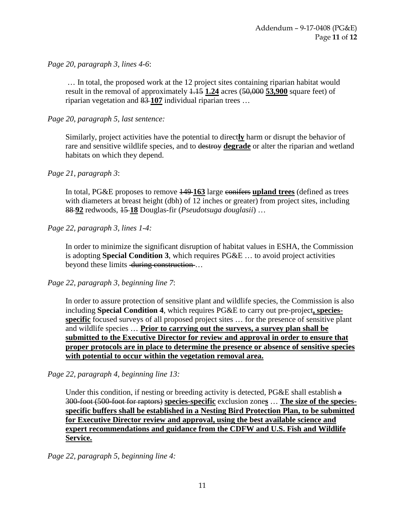*Page 20, paragraph 3, lines 4-6*:

 … In total, the proposed work at the 12 project sites containing riparian habitat would result in the removal of approximately 1.15 **1.24** acres (50,000 **53,900** square feet) of riparian vegetation and 83 **107** individual riparian trees …

*Page 20, paragraph 5, last sentence:*

Similarly, project activities have the potential to direct**ly** harm or disrupt the behavior of rare and sensitive wildlife species, and to destroy **degrade** or alter the riparian and wetland habitats on which they depend.

*Page 21, paragraph 3*:

In total, PG&E proposes to remove 149 **163** large conifers **upland trees** (defined as trees with diameters at breast height (dbh) of 12 inches or greater) from project sites, including 88 **92** redwoods, 15 **18** Douglas-fir (*Pseudotsuga douglasii*) …

*Page 22, paragraph 3, lines 1-4:* 

In order to minimize the significant disruption of habitat values in ESHA, the Commission is adopting **Special Condition 3**, which requires PG&E … to avoid project activities beyond these limits during construction...

*Page 22, paragraph 3, beginning line 7*:

In order to assure protection of sensitive plant and wildlife species, the Commission is also including **Special Condition 4**, which requires PG&E to carry out pre-project**, speciesspecific** focused surveys of all proposed project sites … for the presence of sensitive plant and wildlife species … **Prior to carrying out the surveys, a survey plan shall be submitted to the Executive Director for review and approval in order to ensure that proper protocols are in place to determine the presence or absence of sensitive species with potential to occur within the vegetation removal area.**

*Page 22, paragraph 4, beginning line 13:* 

Under this condition, if nesting or breeding activity is detected, PG&E shall establish a 300-foot (500-foot for raptors) **species-specific** exclusion zone**s** … **The size of the speciesspecific buffers shall be established in a Nesting Bird Protection Plan, to be submitted for Executive Director review and approval, using the best available science and expert recommendations and guidance from the CDFW and U.S. Fish and Wildlife Service.**

*Page 22, paragraph 5, beginning line 4:*